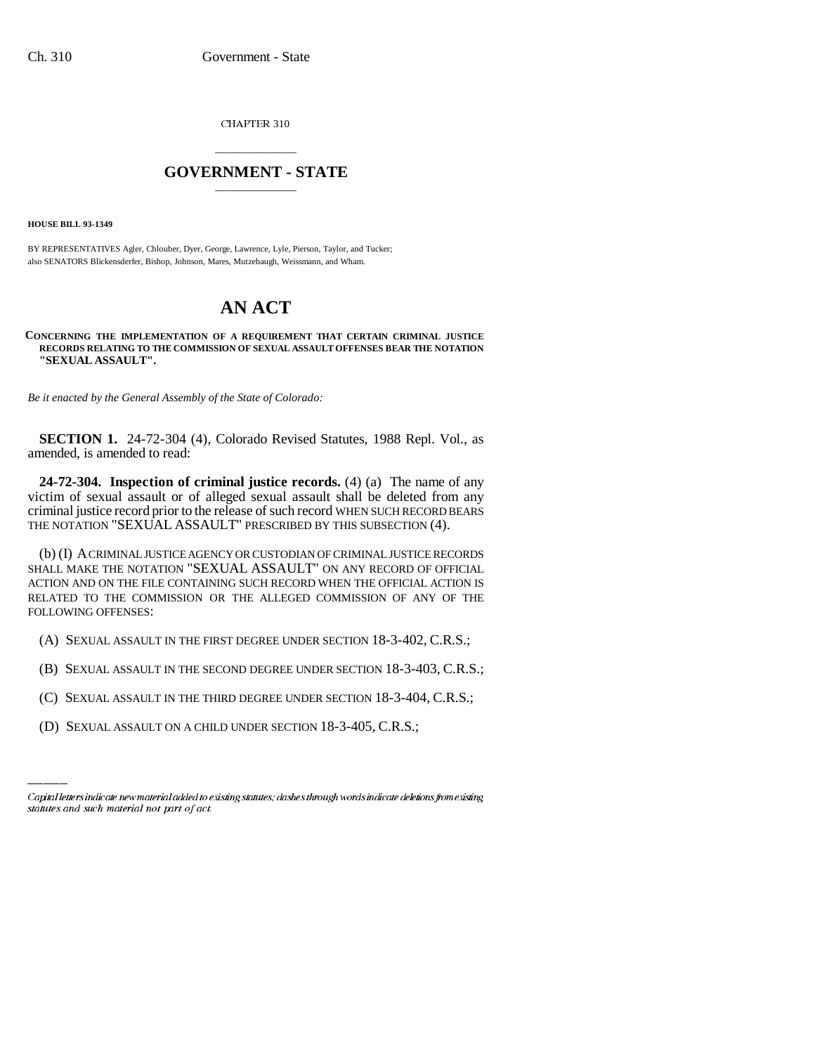CHAPTER 310

## \_\_\_\_\_\_\_\_\_\_\_\_\_\_\_ **GOVERNMENT - STATE** \_\_\_\_\_\_\_\_\_\_\_\_\_\_\_

**HOUSE BILL 93-1349**

BY REPRESENTATIVES Agler, Chlouber, Dyer, George, Lawrence, Lyle, Pierson, Taylor, and Tucker; also SENATORS Blickensderfer, Bishop, Johnson, Mares, Mutzebaugh, Weissmann, and Wham.

## **AN ACT**

## **CONCERNING THE IMPLEMENTATION OF A REQUIREMENT THAT CERTAIN CRIMINAL JUSTICE RECORDS RELATING TO THE COMMISSION OF SEXUAL ASSAULT OFFENSES BEAR THE NOTATION "SEXUAL ASSAULT".**

*Be it enacted by the General Assembly of the State of Colorado:*

**SECTION 1.** 24-72-304 (4), Colorado Revised Statutes, 1988 Repl. Vol., as amended, is amended to read:

**24-72-304. Inspection of criminal justice records.** (4) (a) The name of any victim of sexual assault or of alleged sexual assault shall be deleted from any criminal justice record prior to the release of such record WHEN SUCH RECORD BEARS THE NOTATION "SEXUAL ASSAULT" PRESCRIBED BY THIS SUBSECTION (4).

(b) (I) A CRIMINAL JUSTICE AGENCY OR CUSTODIAN OF CRIMINAL JUSTICE RECORDS SHALL MAKE THE NOTATION "SEXUAL ASSAULT" ON ANY RECORD OF OFFICIAL ACTION AND ON THE FILE CONTAINING SUCH RECORD WHEN THE OFFICIAL ACTION IS RELATED TO THE COMMISSION OR THE ALLEGED COMMISSION OF ANY OF THE FOLLOWING OFFENSES:

(A) SEXUAL ASSAULT IN THE FIRST DEGREE UNDER SECTION 18-3-402, C.R.S.;

(B) SEXUAL ASSAULT IN THE SECOND DEGREE UNDER SECTION 18-3-403, C.R.S.;

- (C) SEXUAL ASSAULT IN THE THIRD DEGREE UNDER SECTION 18-3-404, C.R.S.;
- (D) SEXUAL ASSAULT ON A CHILD UNDER SECTION 18-3-405, C.R.S.;

Capital letters indicate new material added to existing statutes; dashes through words indicate deletions from existing statutes and such material not part of act.